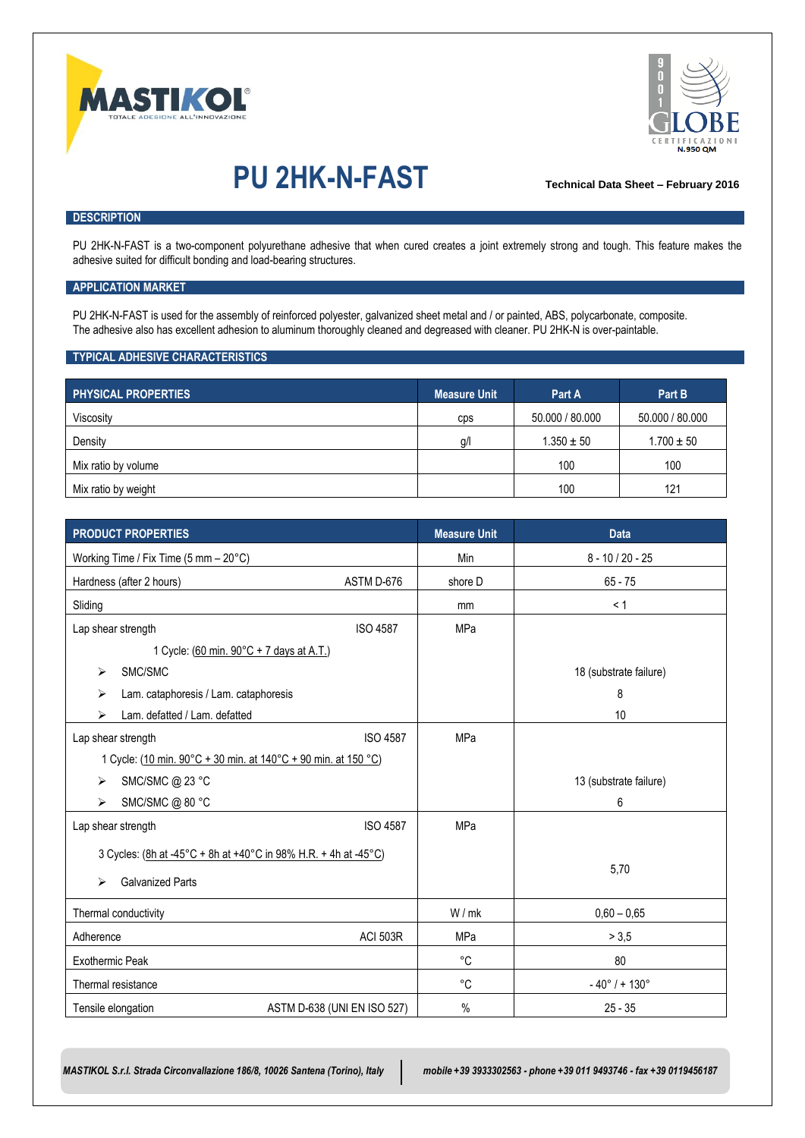



# **PU 2HK-N-FAST Technical Data Sheet – February <sup>2016</sup>**

### **DESCRIPTION**

PU 2HK-N-FAST is a two-component polyurethane adhesive that when cured creates a joint extremely strong and tough. This feature makes the adhesive suited for difficult bonding and load-bearing structures.

#### **APPLICATION MARKET**

PU 2HK-N-FAST is used for the assembly of reinforced polyester, galvanized sheet metal and / or painted, ABS, polycarbonate, composite. The adhesive also has excellent adhesion to aluminum thoroughly cleaned and degreased with cleaner. PU 2HK-N is over-paintable.

#### **TYPICAL ADHESIVE CHARACTERISTICS**

| <b>PHYSICAL PROPERTIES</b> | <b>Measure Unit</b> | Part A          | Part B          |
|----------------------------|---------------------|-----------------|-----------------|
| Viscosity                  | cps                 | 50.000 / 80.000 | 50.000 / 80.000 |
| Density                    | g/l                 | $1.350 \pm 50$  | $1.700 \pm 50$  |
| Mix ratio by volume        |                     | 100             | 100             |
| Mix ratio by weight        |                     | 100             | 121             |

| <b>PRODUCT PROPERTIES</b>                                       | <b>Measure Unit</b> | <b>Data</b>                      |  |
|-----------------------------------------------------------------|---------------------|----------------------------------|--|
| Working Time / Fix Time (5 mm - 20°C)                           | Min                 | $8 - 10 / 20 - 25$               |  |
| ASTM D-676<br>Hardness (after 2 hours)                          | shore D             | $65 - 75$                        |  |
| Sliding                                                         | mm                  | < 1                              |  |
| <b>ISO 4587</b><br>Lap shear strength                           | <b>MPa</b>          |                                  |  |
| 1 Cycle: (60 min. 90°C + 7 days at A.T.)                        |                     |                                  |  |
| SMC/SMC<br>⋗                                                    |                     | 18 (substrate failure)           |  |
| Lam. cataphoresis / Lam. cataphoresis<br>⋗                      |                     | 8                                |  |
| Lam. defatted / Lam. defatted<br>⋗                              |                     | 10                               |  |
| <b>ISO 4587</b><br>Lap shear strength                           | <b>MPa</b>          |                                  |  |
| 1 Cycle: (10 min. 90°C + 30 min. at 140°C + 90 min. at 150 °C)  |                     |                                  |  |
| SMC/SMC @ 23 °C<br>⋗                                            |                     | 13 (substrate failure)           |  |
| SMC/SMC @ 80 °C<br>⋗                                            |                     | 6                                |  |
| <b>ISO 4587</b><br>Lap shear strength                           | <b>MPa</b>          |                                  |  |
| 3 Cycles: (8h at -45°C + 8h at +40°C in 98% H.R. + 4h at -45°C) |                     |                                  |  |
| <b>Galvanized Parts</b><br>↘                                    |                     | 5,70                             |  |
|                                                                 |                     |                                  |  |
| Thermal conductivity                                            | W/mk                | $0,60 - 0,65$                    |  |
| <b>ACI 503R</b><br>Adherence                                    | <b>MPa</b>          | > 3,5                            |  |
| <b>Exothermic Peak</b>                                          | °C                  | 80                               |  |
| Thermal resistance                                              | °C                  | $-40^{\circ}$ / + 130 $^{\circ}$ |  |
| Tensile elongation<br>ASTM D-638 (UNI EN ISO 527)               | $\%$                | $25 - 35$                        |  |

*MASTIKOL S.r.l. Strada Circonvallazione 186/8, 10026 Santena (Torino), Italy mobile +39 3933302563 - phone +39 011 9493746 - fax +39 0119456187*